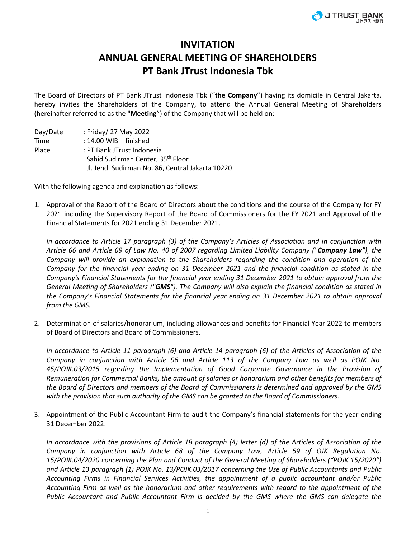## **INVITATION ANNUAL GENERAL MEETING OF SHAREHOLDERS PT Bank JTrust Indonesia Tbk**

The Board of Directors of PT Bank JTrust Indonesia Tbk ("**the Company**") having its domicile in Central Jakarta, hereby invites the Shareholders of the Company, to attend the Annual General Meeting of Shareholders (hereinafter referred to as the "**Meeting**") of the Company that will be held on:

Day/Date : Friday/ 27 May 2022 Time : 14.00 WIB – finished Place : PT Bank JTrust Indonesia Sahid Sudirman Center, 35th Floor Jl. Jend. Sudirman No. 86, Central Jakarta 10220

With the following agenda and explanation as follows:

1. Approval of the Report of the Board of Directors about the conditions and the course of the Company for FY 2021 including the Supervisory Report of the Board of Commissioners for the FY 2021 and Approval of the Financial Statements for 2021 ending 31 December 2021.

*In accordance to Article 17 paragraph (3) of the Company's Articles of Association and in conjunction with Article 66 and Article 69 of Law No. 40 of 2007 regarding Limited Liability Company ("Company Law"), the Company will provide an explanation to the Shareholders regarding the condition and operation of the Company for the financial year ending on 31 December 2021 and the financial condition as stated in the Company's Financial Statements for the financial year ending 31 December 2021 to obtain approval from the General Meeting of Shareholders ("GMS"). The Company will also explain the financial condition as stated in the Company's Financial Statements for the financial year ending on 31 December 2021 to obtain approval from the GMS.*

2. Determination of salaries/honorarium, including allowances and benefits for Financial Year 2022 to members of Board of Directors and Board of Commissioners.

*In accordance to Article 11 paragraph (6) and Article 14 paragraph (6) of the Articles of Association of the Company in conjunction with Article 96 and Article 113 of the Company Law as well as POJK No. 45/POJK.03/2015 regarding the Implementation of Good Corporate Governance in the Provision of Remuneration for Commercial Banks, the amount of salaries or honorarium and other benefits for members of the Board of Directors and members of the Board of Commissioners is determined and approved by the GMS with the provision that such authority of the GMS can be granted to the Board of Commissioners.* 

3. Appointment of the Public Accountant Firm to audit the Company's financial statements for the year ending 31 December 2022.

*In accordance with the provisions of Article 18 paragraph (4) letter (d) of the Articles of Association of the Company in conjunction with Article 68 of the Company Law, Article 59 of OJK Regulation No. 15/POJK.04/2020 concerning the Plan and Conduct of the General Meeting of Shareholders ("POJK 15/2020") and Article 13 paragraph (1) POJK No. 13/POJK.03/2017 concerning the Use of Public Accountants and Public Accounting Firms in Financial Services Activities, the appointment of a public accountant and/or Public Accounting Firm as well as the honorarium and other requirements with regard to the appointment of the Public Accountant and Public Accountant Firm is decided by the GMS where the GMS can delegate the*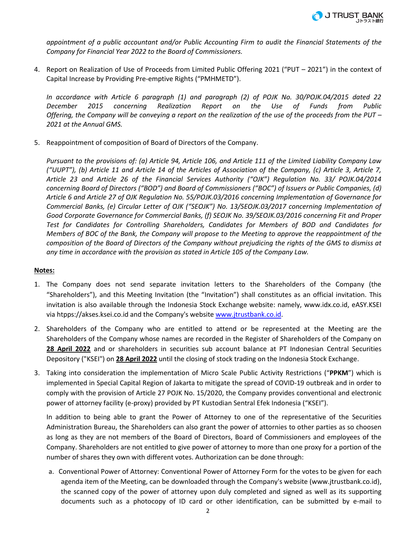

*appointment of a public accountant and/or Public Accounting Firm to audit the Financial Statements of the Company for Financial Year 2022 to the Board of Commissioners.* 

4. Report on Realization of Use of Proceeds from Limited Public Offering 2021 ("PUT – 2021") in the context of Capital Increase by Providing Pre-emptive Rights ("PMHMETD").

*In accordance with Article 6 paragraph (1) and paragraph (2) of POJK No. 30/POJK.04/2015 dated 22 December 2015 concerning Realization Report on the Use of Funds from Public Offering, the Company will be conveying a report on the realization of the use of the proceeds from the PUT – 2021 at the Annual GMS.*

5. Reappointment of composition of Board of Directors of the Company.

*Pursuant to the provisions of: (a) Article 94, Article 106, and Article 111 of the Limited Liability Company Law ("UUPT"), (b) Article 11 and Article 14 of the Articles of Association of the Company, (c) Article 3, Article 7, Article 23 and Article 26 of the Financial Services Authority ("OJK") Regulation No. 33/ POJK.04/2014 concerning Board of Directors ("BOD") and Board of Commissioners ("BOC") of Issuers or Public Companies, (d) Article 6 and Article 27 of OJK Regulation No. 55/POJK.03/2016 concerning Implementation of Governance for Commercial Banks, (e) Circular Letter of OJK ("SEOJK") No. 13/SEOJK.03/2017 concerning Implementation of Good Corporate Governance for Commercial Banks, (f) SEOJK No. 39/SEOJK.03/2016 concerning Fit and Proper Test for Candidates for Controlling Shareholders, Candidates for Members of BOD and Candidates for Members of BOC of the Bank, the Company will propose to the Meeting to approve the reappointment of the composition of the Board of Directors of the Company without prejudicing the rights of the GMS to dismiss at any time in accordance with the provision as stated in Article 105 of the Company Law.* 

## **Notes:**

- 1. The Company does not send separate invitation letters to the Shareholders of the Company (the "Shareholders"), and this Meeting Invitation (the "Invitation") shall constitutes as an official invitation. This invitation is also available through the Indonesia Stock Exchange website: namely, www.idx.co.id, eASY.KSEI via htpps://akses.ksei.co.id and the Company's website [www.jtrustbank.co.id.](http://www.jtrustbank.co.id/)
- 2. Shareholders of the Company who are entitled to attend or be represented at the Meeting are the Shareholders of the Company whose names are recorded in the Register of Shareholders of the Company on **28 April 2022** and or shareholders in securities sub account balance at PT Indonesian Central Securities Depository ("KSEI") on **28 April 2022** until the closing of stock trading on the Indonesia Stock Exchange.
- 3. Taking into consideration the implementation of Micro Scale Public Activity Restrictions ("**PPKM**") which is implemented in Special Capital Region of Jakarta to mitigate the spread of COVID-19 outbreak and in order to comply with the provision of Article 27 POJK No. 15/2020, the Company provides conventional and electronic power of attorney facility (e-proxy) provided by PT Kustodian Sentral Efek Indonesia ("KSEI").

In addition to being able to grant the Power of Attorney to one of the representative of the Securities Administration Bureau, the Shareholders can also grant the power of attornies to other parties as so choosen as long as they are not members of the Board of Directors, Board of Commissioners and employees of the Company. Shareholders are not entitled to give power of attorney to more than one proxy for a portion of the number of shares they own with different votes. Authorization can be done through:

a. Conventional Power of Attorney: Conventional Power of Attorney Form for the votes to be given for each agenda item of the Meeting, can be downloaded through the Company's website (www.jtrustbank.co.id), the scanned copy of the power of attorney upon duly completed and signed as well as its supporting documents such as a photocopy of ID card or other identification, can be submitted by e-mail to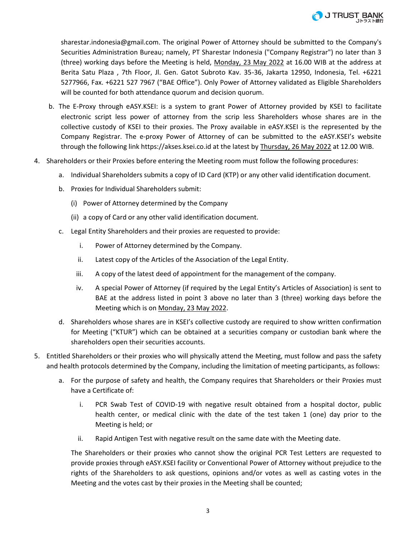sharestar.indonesia@gmail.com. The original Power of Attorney should be submitted to the Company's Securities Administration Bureau; namely, PT Sharestar Indonesia ("Company Registrar") no later than 3 (three) working days before the Meeting is held, Monday, 23 May 2022 at 16.00 WIB at the address at Berita Satu Plaza , 7th Floor, Jl. Gen. Gatot Subroto Kav. 35-36, Jakarta 12950, Indonesia, Tel. +6221 5277966, Fax. +6221 527 7967 ("BAE Office"). Only Power of Attorney validated as Eligible Shareholders will be counted for both attendance quorum and decision quorum.

- b. The E-Proxy through eASY.KSEI: is a system to grant Power of Attorney provided by KSEI to facilitate electronic script less power of attorney from the scrip less Shareholders whose shares are in the collective custody of KSEI to their proxies. The Proxy available in eASY.KSEI is the represented by the Company Registrar. The e-proxy Power of Attorney of can be submitted to the eASY.KSEI's website through the following link https://akses.ksei.co.id at the latest by Thursday, 26 May 2022 at 12.00 WIB.
- 4. Shareholders or their Proxies before entering the Meeting room must follow the following procedures:
	- a. Individual Shareholders submits a copy of ID Card (KTP) or any other valid identification document.
	- b. Proxies for Individual Shareholders submit:
		- (i) Power of Attorney determined by the Company
		- (ii) a copy of Card or any other valid identification document.
	- c. Legal Entity Shareholders and their proxies are requested to provide:
		- i. Power of Attorney determined by the Company.
		- ii. Latest copy of the Articles of the Association of the Legal Entity.
		- iii. A copy of the latest deed of appointment for the management of the company.
		- iv. A special Power of Attorney (if required by the Legal Entity's Articles of Association) is sent to BAE at the address listed in point 3 above no later than 3 (three) working days before the Meeting which is on Monday, 23 May 2022.
	- d. Shareholders whose shares are in KSEI's collective custody are required to show written confirmation for Meeting ("KTUR") which can be obtained at a securities company or custodian bank where the shareholders open their securities accounts.
- 5. Entitled Shareholders or their proxies who will physically attend the Meeting, must follow and pass the safety and health protocols determined by the Company, including the limitation of meeting participants, as follows:
	- a. For the purpose of safety and health, the Company requires that Shareholders or their Proxies must have a Certificate of:
		- i. PCR Swab Test of COVID-19 with negative result obtained from a hospital doctor, public health center, or medical clinic with the date of the test taken 1 (one) day prior to the Meeting is held; or
		- ii. Rapid Antigen Test with negative result on the same date with the Meeting date.

The Shareholders or their proxies who cannot show the original PCR Test Letters are requested to provide proxies through eASY.KSEI facility or Conventional Power of Attorney without prejudice to the rights of the Shareholders to ask questions, opinions and/or votes as well as casting votes in the Meeting and the votes cast by their proxies in the Meeting shall be counted;